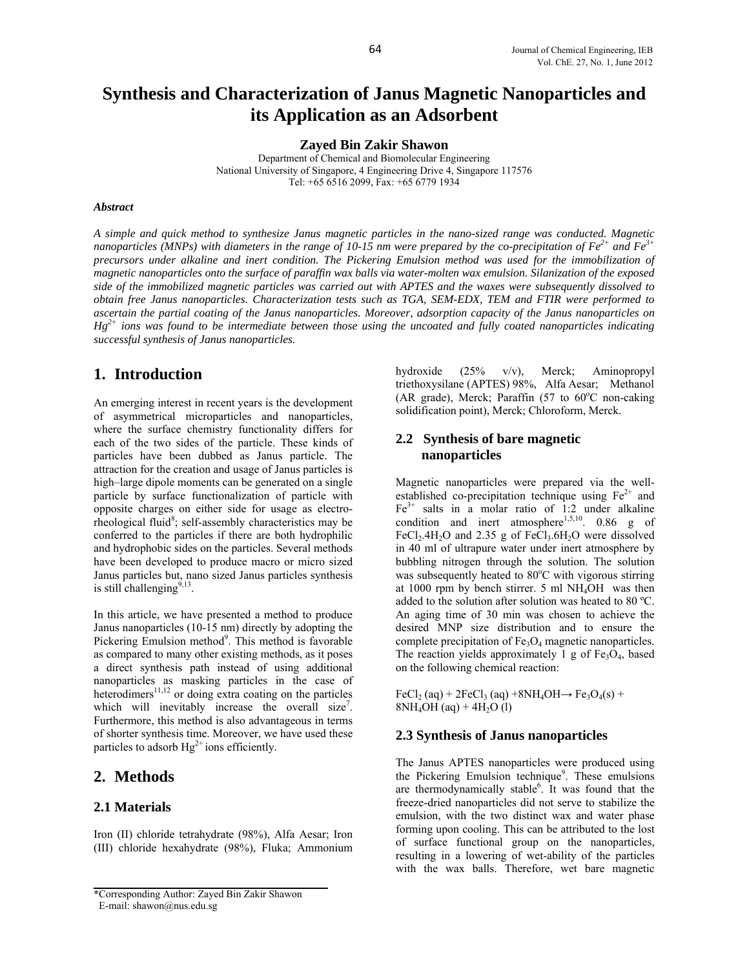# **Synthesis and Characterization of Janus Magnetic Nanoparticles and its Application as an Adsorbent**

**Zayed Bin Zakir Shawon**

Department of Chemical and Biomolecular Engineering National University of Singapore, 4 Engineering Drive 4, Singapore 117576 Tel: +65 6516 2099, Fax: +65 6779 1934

#### *Abstract*

*A simple and quick method to synthesize Janus magnetic particles in the nano-sized range was conducted. Magnetic nanoparticles (MNPs) with diameters in the range of 10-15 nm were prepared by the co-precipitation of*  $Fe^{2+}$  *and*  $Fe^{3+}$ *precursors under alkaline and inert condition. The Pickering Emulsion method was used for the immobilization of magnetic nanoparticles onto the surface of paraffin wax balls via water-molten wax emulsion. Silanization of the exposed side of the immobilized magnetic particles was carried out with APTES and the waxes were subsequently dissolved to obtain free Janus nanoparticles. Characterization tests such as TGA, SEM-EDX, TEM and FTIR were performed to ascertain the partial coating of the Janus nanoparticles. Moreover, adsorption capacity of the Janus nanoparticles on Hg2+ ions was found to be intermediate between those using the uncoated and fully coated nanoparticles indicating successful synthesis of Janus nanoparticles.* 

# **1. Introduction**

An emerging interest in recent years is the development of asymmetrical microparticles and nanoparticles, where the surface chemistry functionality differs for each of the two sides of the particle. These kinds of particles have been dubbed as Janus particle. The attraction for the creation and usage of Janus particles is high–large dipole moments can be generated on a single particle by surface functionalization of particle with opposite charges on either side for usage as electrorheological fluid<sup>8</sup>; self-assembly characteristics may be conferred to the particles if there are both hydrophilic and hydrophobic sides on the particles. Several methods have been developed to produce macro or micro sized Janus particles but, nano sized Janus particles synthesis is still challenging<sup> $9,13$ </sup>.

In this article, we have presented a method to produce Janus nanoparticles (10-15 nm) directly by adopting the Pickering Emulsion method<sup>9</sup>. This method is favorable as compared to many other existing methods, as it poses a direct synthesis path instead of using additional nanoparticles as masking particles in the case of heterodimers<sup>11,12</sup> or doing extra coating on the particles which will inevitably increase the overall size<sup>7</sup>. Furthermore, this method is also advantageous in terms of shorter synthesis time. Moreover, we have used these particles to adsorb  $Hg^{2+}$  ions efficiently.

# **2. Methods**

## **2.1 Materials**

Iron (II) chloride tetrahydrate (98%), Alfa Aesar; Iron (III) chloride hexahydrate (98%), Fluka; Ammonium

E-mail: shawon@nus.edu.sg

hydroxide (25% v/v), Merck; Aminopropyl triethoxysilane (APTES) 98%, Alfa Aesar; Methanol (AR grade), Merck; Paraffin  $(57$  to  $60^{\circ}$ C non-caking solidification point), Merck; Chloroform, Merck.

# **2.2 Synthesis of bare magnetic nanoparticles**

Magnetic nanoparticles were prepared via the wellestablished co-precipitation technique using  $Fe<sup>2+</sup>$  and  $Fe<sup>3+</sup>$  salts in a molar ratio of 1:2 under alkaline condition and inert atmosphere<sup>1,5,10</sup>. 0.86 g of FeCl<sub>2</sub>.4H<sub>2</sub>O and 2.35 g of FeCl<sub>3</sub>.6H<sub>2</sub>O were dissolved in 40 ml of ultrapure water under inert atmosphere by bubbling nitrogen through the solution. The solution was subsequently heated to 80°C with vigorous stirring at 1000 rpm by bench stirrer. 5 ml NH4OH was then added to the solution after solution was heated to 80 ºC. An aging time of 30 min was chosen to achieve the desired MNP size distribution and to ensure the complete precipitation of  $Fe<sub>3</sub>O<sub>4</sub>$  magnetic nanoparticles. The reaction yields approximately 1 g of  $Fe<sub>3</sub>O<sub>4</sub>$ , based on the following chemical reaction:

 $FeCl<sub>2</sub>(aq) + 2FeCl<sub>3</sub>(aq) + 8NH<sub>4</sub>OH \rightarrow Fe<sub>3</sub>O<sub>4</sub>(s) +$  $8NH_4OH$  (aq) + 4H<sub>2</sub>O (l)

#### **2.3 Synthesis of Janus nanoparticles**

The Janus APTES nanoparticles were produced using the Pickering Emulsion technique<sup>9</sup>. These emulsions are thermodynamically stable<sup>6</sup>. It was found that the freeze-dried nanoparticles did not serve to stabilize the emulsion, with the two distinct wax and water phase forming upon cooling. This can be attributed to the lost of surface functional group on the nanoparticles, resulting in a lowering of wet-ability of the particles with the wax balls. Therefore, wet bare magnetic

<sup>\*</sup>Corresponding Author: Zayed Bin Zakir Shawon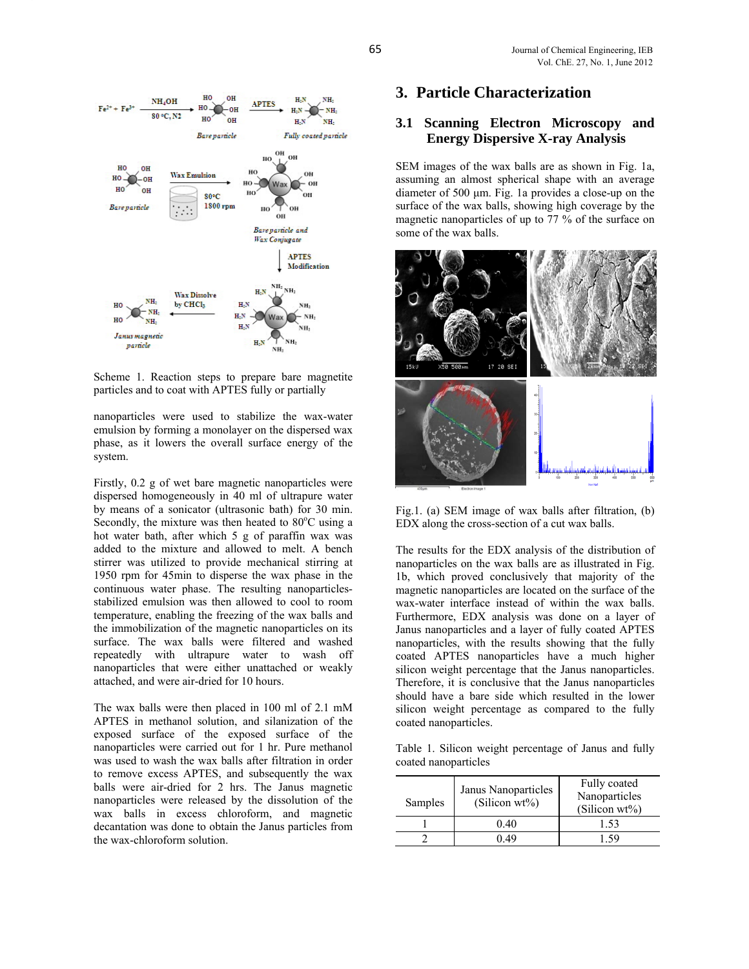

Scheme 1. Reaction steps to prepare bare magnetite particles and to coat with APTES fully or partially

nanoparticles were used to stabilize the wax-water emulsion by forming a monolayer on the dispersed wax phase, as it lowers the overall surface energy of the system.

Firstly, 0.2 g of wet bare magnetic nanoparticles were dispersed homogeneously in 40 ml of ultrapure water by means of a sonicator (ultrasonic bath) for 30 min. Secondly, the mixture was then heated to  $80^{\circ}$ C using a hot water bath, after which 5 g of paraffin wax was added to the mixture and allowed to melt. A bench stirrer was utilized to provide mechanical stirring at 1950 rpm for 45min to disperse the wax phase in the continuous water phase. The resulting nanoparticlesstabilized emulsion was then allowed to cool to room temperature, enabling the freezing of the wax balls and the immobilization of the magnetic nanoparticles on its surface. The wax balls were filtered and washed repeatedly with ultrapure water to wash off nanoparticles that were either unattached or weakly attached, and were air-dried for 10 hours.

The wax balls were then placed in 100 ml of 2.1 mM APTES in methanol solution, and silanization of the exposed surface of the exposed surface of the nanoparticles were carried out for 1 hr. Pure methanol was used to wash the wax balls after filtration in order to remove excess APTES, and subsequently the wax balls were air-dried for 2 hrs. The Janus magnetic nanoparticles were released by the dissolution of the wax balls in excess chloroform, and magnetic decantation was done to obtain the Janus particles from the wax-chloroform solution.

# **3. Particle Characterization**

## **3.1 Scanning Electron Microscopy and Energy Dispersive X-ray Analysis**

SEM images of the wax balls are as shown in Fig. 1a, assuming an almost spherical shape with an average diameter of 500 µm. Fig. 1a provides a close-up on the surface of the wax balls, showing high coverage by the magnetic nanoparticles of up to 77 % of the surface on some of the wax balls.



Fig.1. (a) SEM image of wax balls after filtration, (b) EDX along the cross-section of a cut wax balls.

The results for the EDX analysis of the distribution of nanoparticles on the wax balls are as illustrated in Fig. 1b, which proved conclusively that majority of the magnetic nanoparticles are located on the surface of the wax-water interface instead of within the wax balls. Furthermore, EDX analysis was done on a layer of Janus nanoparticles and a layer of fully coated APTES nanoparticles, with the results showing that the fully coated APTES nanoparticles have a much higher silicon weight percentage that the Janus nanoparticles. Therefore, it is conclusive that the Janus nanoparticles should have a bare side which resulted in the lower silicon weight percentage as compared to the fully coated nanoparticles.

Table 1. Silicon weight percentage of Janus and fully coated nanoparticles

| Samples | Janus Nanoparticles<br>(Silicon wt%) | Fully coated<br>Nanoparticles<br>(Silicon $wt\%$ ) |  |
|---------|--------------------------------------|----------------------------------------------------|--|
|         | 0.40                                 | 1.53                                               |  |
|         | ) 49                                 |                                                    |  |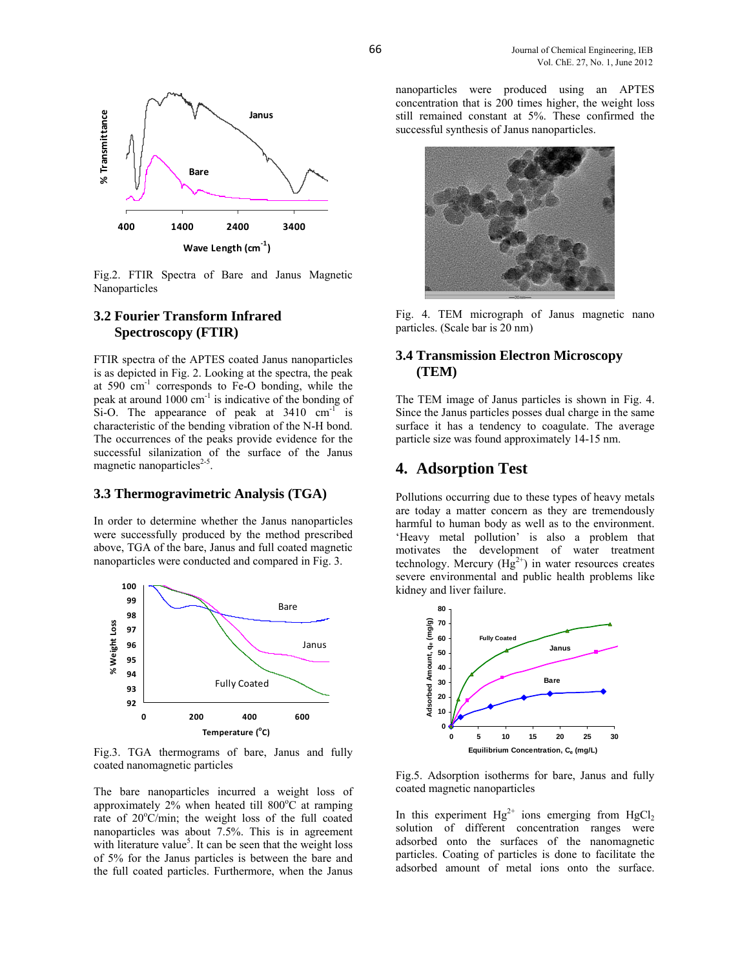

Fig.2. FTIR Spectra of Bare and Janus Magnetic Nanoparticles

## **3.2 Fourier Transform Infrared Spectroscopy (FTIR)**

FTIR spectra of the APTES coated Janus nanoparticles is as depicted in Fig. 2. Looking at the spectra, the peak at 590 cm-1 corresponds to Fe-O bonding, while the peak at around  $1000 \text{ cm}^{-1}$  is indicative of the bonding of Si-O. The appearance of peak at  $3410 \text{ cm}^{-1}$  is characteristic of the bending vibration of the N-H bond. The occurrences of the peaks provide evidence for the successful silanization of the surface of the Janus magnetic nanoparticles<sup>2-5</sup>.

### **3.3 Thermogravimetric Analysis (TGA)**

In order to determine whether the Janus nanoparticles were successfully produced by the method prescribed above, TGA of the bare, Janus and full coated magnetic nanoparticles were conducted and compared in Fig. 3.



Fig.3. TGA thermograms of bare, Janus and fully coated nanomagnetic particles

The bare nanoparticles incurred a weight loss of approximately  $2\%$  when heated till 800°C at ramping rate of 20°C/min; the weight loss of the full coated nanoparticles was about 7.5%. This is in agreement with literature value<sup>5</sup>. It can be seen that the weight loss of 5% for the Janus particles is between the bare and the full coated particles. Furthermore, when the Janus

nanoparticles were produced using an APTES concentration that is 200 times higher, the weight loss still remained constant at 5%. These confirmed the successful synthesis of Janus nanoparticles.



Fig. 4. TEM micrograph of Janus magnetic nano particles. (Scale bar is 20 nm)

# **3.4 Transmission Electron Microscopy (TEM)**

The TEM image of Janus particles is shown in Fig. 4. Since the Janus particles posses dual charge in the same surface it has a tendency to coagulate. The average particle size was found approximately 14-15 nm.

# **4. Adsorption Test**

Pollutions occurring due to these types of heavy metals are today a matter concern as they are tremendously harmful to human body as well as to the environment. 'Heavy metal pollution' is also a problem that motivates the development of water treatment technology. Mercury  $(Hg^{2+})$  in water resources creates severe environmental and public health problems like kidney and liver failure.



Fig.5. Adsorption isotherms for bare, Janus and fully coated magnetic nanoparticles

In this experiment  $Hg^{2+}$  ions emerging from  $HgCl_2$ solution of different concentration ranges were adsorbed onto the surfaces of the nanomagnetic particles. Coating of particles is done to facilitate the adsorbed amount of metal ions onto the surface.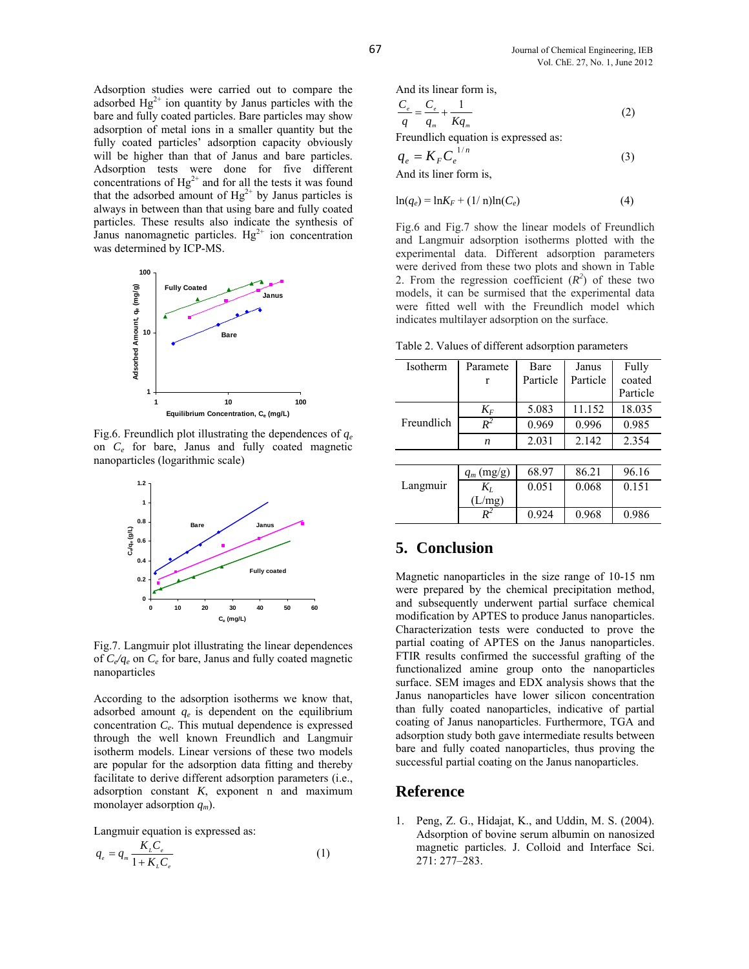Adsorption studies were carried out to compare the adsorbed  $Hg^{2+}$  ion quantity by Janus particles with the bare and fully coated particles. Bare particles may show adsorption of metal ions in a smaller quantity but the fully coated particles' adsorption capacity obviously will be higher than that of Janus and bare particles. Adsorption tests were done for five different concentrations of  $Hg^{2+}$  and for all the tests it was found that the adsorbed amount of  $Hg^{2+}$  by Janus particles is always in between than that using bare and fully coated particles. These results also indicate the synthesis of Janus nanomagnetic particles.  $Hg^{2+}$  ion concentration was determined by ICP-MS.



Fig.6. Freundlich plot illustrating the dependences of *qe* on *Ce* for bare, Janus and fully coated magnetic nanoparticles (logarithmic scale)



Fig.7. Langmuir plot illustrating the linear dependences of *Ce/qe* on *Ce* for bare, Janus and fully coated magnetic nanoparticles

According to the adsorption isotherms we know that, adsorbed amount  $q_e$  is dependent on the equilibrium concentration *Ce*. This mutual dependence is expressed through the well known Freundlich and Langmuir isotherm models. Linear versions of these two models are popular for the adsorption data fitting and thereby facilitate to derive different adsorption parameters (i.e., adsorption constant *K*, exponent n and maximum monolayer adsorption *qm*).

Langmuir equation is expressed as:

$$
q_e = q_m \frac{K_L C_e}{1 + K_L C_e} \tag{1}
$$

And its linear form is,

$$
\frac{C_e}{q} = \frac{C_e}{q_m} + \frac{1}{Kq_m} \tag{2}
$$

Freundlich equation is expressed as:

$$
q_e = K_F C_e^{1/n}
$$
  
And its linear form is, (3)

$$
\ln(q_e) = \ln K_F + (1/\mathrm{n})\ln(C_e) \tag{4}
$$

Fig.6 and Fig.7 show the linear models of Freundlich and Langmuir adsorption isotherms plotted with the experimental data. Different adsorption parameters were derived from these two plots and shown in Table 2. From the regression coefficient  $(R^2)$  of these two models, it can be surmised that the experimental data were fitted well with the Freundlich model which indicates multilayer adsorption on the surface.

Table 2. Values of different adsorption parameters

| Isotherm   | Paramete     | Bare     | Janus    | Fully    |  |  |
|------------|--------------|----------|----------|----------|--|--|
|            | r            | Particle | Particle | coated   |  |  |
|            |              |          |          | Particle |  |  |
| Freundlich | $K_F$        | 5.083    | 11.152   | 18.035   |  |  |
|            | $R^2$        | 0.969    | 0.996    | 0.985    |  |  |
|            | n            | 2.031    | 2.142    | 2.354    |  |  |
|            |              |          |          |          |  |  |
| Langmuir   | $q_m$ (mg/g) | 68.97    | 86.21    | 96.16    |  |  |
|            | $K_L$        | 0.051    | 0.068    | 0.151    |  |  |
|            | (L/mg)       |          |          |          |  |  |
|            | $R^2$        | 0.924    | 0.968    | 0.986    |  |  |

# **5. Conclusion**

Magnetic nanoparticles in the size range of 10-15 nm were prepared by the chemical precipitation method, and subsequently underwent partial surface chemical modification by APTES to produce Janus nanoparticles. Characterization tests were conducted to prove the partial coating of APTES on the Janus nanoparticles. FTIR results confirmed the successful grafting of the functionalized amine group onto the nanoparticles surface. SEM images and EDX analysis shows that the Janus nanoparticles have lower silicon concentration than fully coated nanoparticles, indicative of partial coating of Janus nanoparticles. Furthermore, TGA and adsorption study both gave intermediate results between bare and fully coated nanoparticles, thus proving the successful partial coating on the Janus nanoparticles.

#### **Reference**

1. Peng, Z. G., Hidajat, K., and Uddin, M. S. (2004). Adsorption of bovine serum albumin on nanosized magnetic particles. J. Colloid and Interface Sci. 271: 277–283.